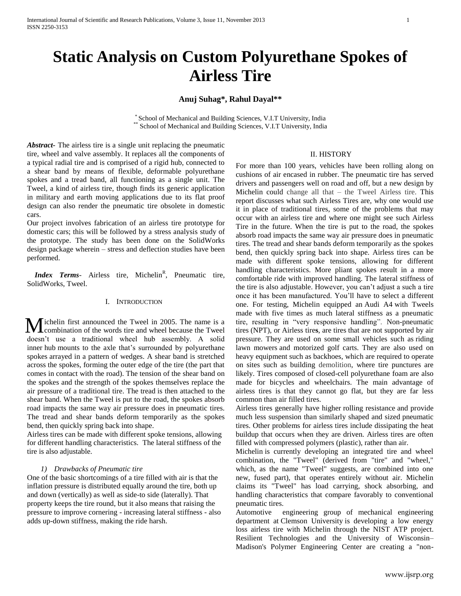# **Static Analysis on Custom Polyurethane Spokes of Airless Tire**

# **Anuj Suhag\*, Rahul Dayal\*\***

\* School of Mechanical and Building Sciences, V.I.T University, India \*\* School of Mechanical and Building Sciences, V.I.T University, India

*Abstract-* The airless tire is a single unit replacing the pneumatic tire, wheel and valve assembly. It replaces all the components of a typical radial tire and is comprised of a rigid hub, connected to a shear band by means of flexible, deformable polyurethane spokes and a tread band, all functioning as a single unit. The Tweel, a kind of airless tire, though finds its generic application in military and earth moving applications due to its flat proof design can also render the pneumatic tire obsolete in domestic cars.

Our project involves fabrication of an airless tire prototype for domestic cars; this will be followed by a stress analysis study of the prototype. The study has been done on the SolidWorks design package wherein – stress and deflection studies have been performed.

*Index Terms*- Airless tire, Michelin<sup>R</sup>, Pneumatic tire, SolidWorks, Tweel.

#### I. INTRODUCTION

ichelin first announced the Tweel in 2005. The name is a combination of the words tire and wheel because the Tweel doesn't use a traditional wheel hub assembly. A solid inner hub mounts to the axle that's surrounded by polyurethane spokes arrayed in a pattern of wedges. A shear band is stretched across the spokes, forming the outer edge of the tire (the part that comes in contact with the road). The tension of the shear band on the spokes and the strength of the spokes themselves replace the air pressure of a traditional tire. The tread is then attached to the shear band. When the Tweel is put to the road, the spokes absorb road impacts the same way air pressure does in pneumatic tires. The tread and shear bands deform temporarily as the spokes bend, then quickly spring back into shape. M

Airless tires can be made with different spoke tensions, allowing for different handling characteristics. The lateral stiffness of the tire is also adjustable.

#### *1) Drawbacks of Pneumatic tire*

One of the basic shortcomings of a tire filled with air is that the inflation pressure is distributed equally around the tire, both up and down (vertically) as well as side-to side (laterally). That property keeps the tire round, but it also means that raising the pressure to improve cornering - increasing lateral stiffness - also adds up-down stiffness, making the ride harsh.

#### II. HISTORY

For more than 100 years, vehicles have been rolling along on cushions of air encased in rubber. The pneumatic tire has served drivers and passengers well on road and off, but a new design by Michelin could change all that – the Tweel Airless tire. This report discusses what such Airless Tires are, why one would use it in place of traditional tires, some of the problems that may occur with an airless tire and where one might see such Airless Tire in the future. When the tire is put to the road, the spokes absorb road impacts the same way air pressure does in pneumatic tires. The tread and shear bands deform temporarily as the spokes bend, then quickly spring back into shape. Airless tires can be made with different spoke tensions, allowing for different handling characteristics. More pliant spokes result in a more comfortable ride with improved handling. The lateral stiffness of the tire is also adjustable. However, you can't adjust a such a tire once it has been manufactured. You'll have to select a different one. For testing, Michelin equipped an Audi A4 with Tweels made with five times as much lateral stiffness as a pneumatic tire, resulting in "very responsive handling". Non-pneumatic tires (NPT), or Airless tire**s**, are tires that are not supported by air pressure. They are used on some small vehicles such as riding lawn mowers and motorized golf carts. They are also used on heavy equipment such as backhoes, which are required to operate on sites such as building demolition, where tire punctures are likely. Tires composed of closed-cell polyurethane foam are also made for bicycles and wheelchairs. The main advantage of airless tires is that they cannot go flat, but they are far less common than air filled tires.

Airless tires generally have higher rolling resistance and provide much less suspension than similarly shaped and sized pneumatic tires. Other problems for airless tires include dissipating the heat buildup that occurs when they are driven. Airless tires are often filled with compressed polymers (plastic), rather than air.

Michelin is currently developing an integrated tire and wheel combination, the "Tweel" (derived from "tire" and "wheel," which, as the name "Tweel" suggests, are combined into one new, fused part), that operates entirely without air. Michelin claims its "Tweel" has load carrying, shock absorbing, and handling characteristics that compare favorably to conventional pneumatic tires.

Automotive engineering group of mechanical engineering department at Clemson University is developing a low energy loss airless tire with Michelin through the NIST ATP project. Resilient Technologies and the University of Wisconsin– Madison's Polymer Engineering Center are creating a "non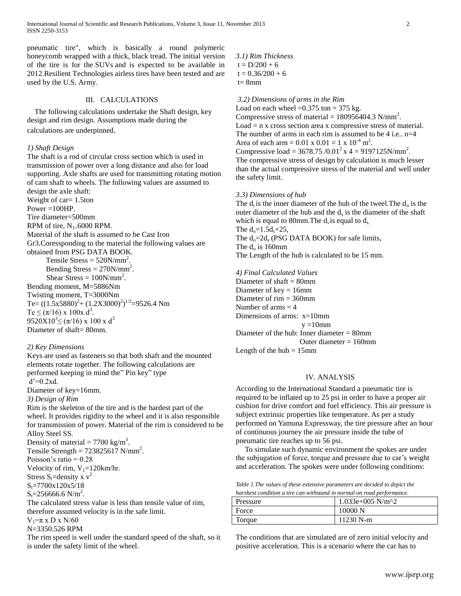pneumatic tire", which is basically a round polymeric honeycomb wrapped with a thick, black tread. The initial version of the tire is for the SUVs and is expected to be available in 2012.Resilient Technologies airless tires have been tested and are used by the U.S. Army.

# III. CALCULATIONS

 The following calculations undertake the Shaft design, key design and rim design. Assumptions made during the calculations are underpinned.

#### *1) Shaft Design*

The shaft is a rod of circular cross section which is used in transmission of power over a long distance and also for load supporting. Axle shafts are used for transmitting rotating motion of cam shaft to wheels. The following values are assumed to design the axle shaft: Weight of car= 1.5ton Power  $=100$ HP. Tire diameter=500mm RPM of tire,  $N_{1=}6000$  RPM.

Material of the shaft is assumed to be Cast Iron Gr3.Coressponding to the material the following values are obtained from PSG DATA BOOK.

Tensile Stress =  $520N/mm^2$ . Bending Stress  $= 270$ N/mm<sup>2</sup>. Shear Stress =  $100N/mm^2$ . Bending moment, M=5886Nm Twisting moment, T=3000Nm Te= $((1.5x5880)^2+(1.2X3000)^2)^{1/2}$ =9526.4 Nm Te  $\leq (\pi/16) \times 100 \times d^3$ . 9520 $X10^3 \leq (\pi/16) \times 100 \times d^3$ Diameter of shaft= 80mm.

## *2) Key Dimensions*

Keys are used as fasteners so that both shaft and the mounted elements rotate together. The following calculations are performed keeping in mind the" Pin key" type  $d'=0.2xd$ .

Diameter of key=16mm.

*3) Design of Rim*

Rim is the skeleton of the tire and is the hardest part of the wheel. It provides rigidity to the wheel and it is also responsible for transmission of power. Material of the rim is considered to be Alloy Steel SS.

Density of material =  $7700 \text{ kg/m}^3$ .

Tensile Strength =  $723825617$  N/mm<sup>2</sup>.

Poisson's ratio  $= 0.28$ 

Velocity of rim,  $V_1=120$ km/hr.

Stress S<sub>t</sub>=density x  $v^2$ 

 $S_t = 7700x120x5/18$ 

 $S_t = 256666.6 \text{ N/m}^2$ .

The calculated stress value is less than tensile value of rim, therefore assumed velocity is in the safe limit.  $V_1=\pi$  x D x N/60

N=3350.526 RPM

The rim speed is well under the standard speed of the shaft, so it is under the safety limit of the wheel.

*3.1) Rim Thickness*  $t = D/200 + 6$  $t = 0.36/200 + 6$  $t= 8$ mm

#### *3.2) Dimensions of arms in the Rim*

Load on each wheel = $0.375$  ton = 375 kg. Compressive stress of material =  $180956404.3$  N/mm<sup>2</sup>. Load = n x cross section area x compressive stress of material. The number of arms in each rim is assumed to be  $4$  i.e.,  $n=4$ Area of each arm =  $0.01 \times 0.01 = 1 \times 10^{-4} \text{ m}^2$ . Compressive load = 3678.75 /0.01<sup>2</sup> x 4 = 9197125N/mm<sup>2</sup>. The compressive stress of design by calculation is much lesser than the actual compressive stress of the material and well under the safety limit.

#### *3.3) Dimensions of hub*

The  $d_i$  is the inner diameter of the hub of the tweel. The  $d_o$  is the outer diameter of the hub and the  $d_s$  is the diameter of the shaft which is equal to 80mm. The  $d_i$  is equal to  $d_s$ . The  $d_0 = 1.5d_s + 25$ , The  $d_0 = 2d_s$  (PSG DATA BOOK) for safe limits, The  $d_0$  is 160mm The Length of the hub is calculated to be 15 mm. *4) Final Calculated Values*

Diameter of shaft = 80mm Diameter of  $key = 16$ mm Diameter of rim = 360mm Number of arms  $=$  4 Dimensions of arms: x=10mm  $v = 10$ mm Diameter of the hub: Inner diameter = 80mm Outer diameter  $= 160$ mm Length of the  $hub = 15$ mm

# IV. ANALYSIS

According to the International Standard a pneumatic tire is required to be inflated up to 25 psi in order to have a proper air cushion for drive comfort and fuel efficiency. This air pressure is subject extrinsic properties like temperature. As per a study performed on Yamuna Expressway, the tire pressure after an hour of continuous journey the air pressure inside the tube of pneumatic tire reaches up to 56 psi.

To simulate such dynamic environment the spokes are under the subjugation of force, torque and pressure due to car's weight and acceleration. The spokes were under following conditions:

*Table 1.The values of these extensive parameters are decided to depict the harshest condition a tire can withstand in normal on road performance.*

| Pressure | 1.033e+005 N/m^2 |
|----------|------------------|
| Force    | 10000 N          |
| Torque   | $11230$ N-m      |

The conditions that are simulated are of zero initial velocity and positive acceleration. This is a scenario where the car has to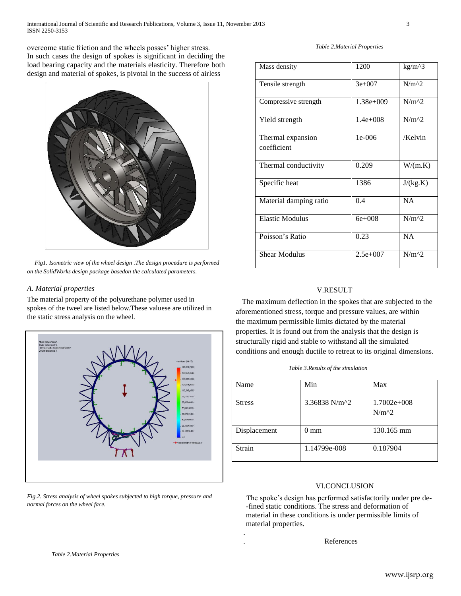overcome static friction and the wheels posses' higher stress. In such cases the design of spokes is significant in deciding the load bearing capacity and the materials elasticity. Therefore both design and material of spokes, is pivotal in the success of airless



*Fig1. Isometric view of the wheel design .The design procedure is performed on the SolidWorks design package basedon the calculated parameters.*

# *A. Material properties*

The material property of the polyurethane polymer used in spokes of the tweel are listed below.These valuese are utilized in the static stress analysis on the wheel.



*Fig.2. Stress analysis of wheel spokes subjected to high torque, pressure and normal forces on the wheel face.*

#### *Table 2.Material Properties*

| Mass density                     | 1200        | $kg/m^{3}$ |
|----------------------------------|-------------|------------|
| Tensile strength                 | $3e+007$    | $N/m^{2}$  |
| Compressive strength             | $1.38e+009$ | $N/m^{2}$  |
| Yield strength                   | $1.4e+008$  | $N/m^2$    |
| Thermal expansion<br>coefficient | $1e-006$    | /Kelvin    |
| Thermal conductivity             | 0.209       | W/(m.K)    |
| Specific heat                    | 1386        | J/(kg.K)   |
| Material damping ratio           | 0.4         | <b>NA</b>  |
| <b>Elastic Modulus</b>           | $6e + 008$  | $N/m^2$    |
| Poisson's Ratio                  | 0.23        | NA         |
| <b>Shear Modulus</b>             | $2.5e+007$  | $N/m^2$    |

# V.RESULT

 The maximum deflection in the spokes that are subjected to the aforementioned stress, torque and pressure values, are within the maximum permissible limits dictated by the material properties. It is found out from the analysis that the design is structurally rigid and stable to withstand all the simulated conditions and enough ductile to retreat to its original dimensions.

| Name          | Min                                           | Max                      |
|---------------|-----------------------------------------------|--------------------------|
| <b>Stress</b> | 3.36838 N/m <sup><math>\text{A}</math>2</sup> | $1.7002e+008$<br>$N/m^2$ |
| Displacement  | 0 mm                                          | 130.165 mm               |
| Strain        | 1.14799e-008                                  | 0.187904                 |

## VI.CONCLUSION

The spoke's design has performed satisfactorily under pre de- -fined static conditions. The stress and deformation of material in these conditions is under permissible limits of material properties.

. References

.